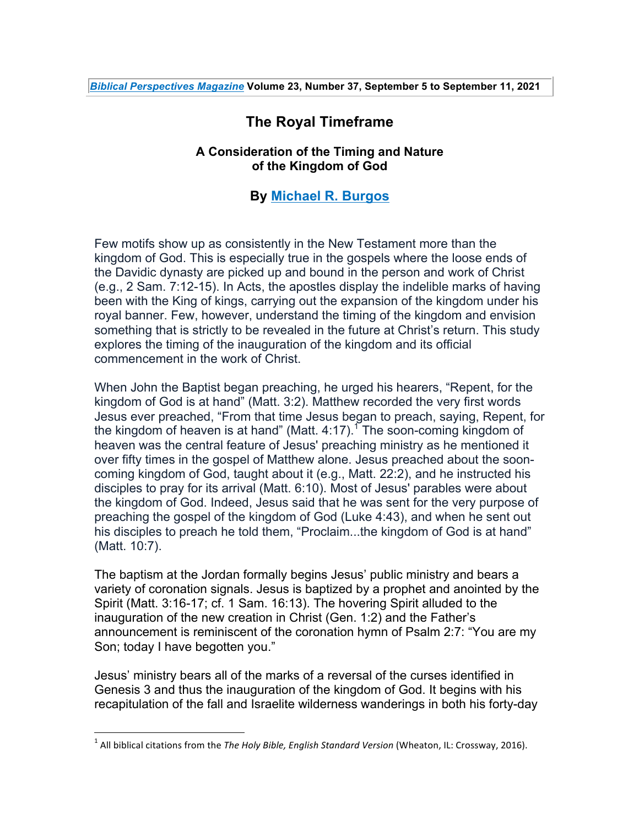## **The Royal Timeframe**

## **A Consideration of the Timing and Nature of the Kingdom of God**

## **By Michael R. Burgos**

Few motifs show up as consistently in the New Testament more than the kingdom of God. This is especially true in the gospels where the loose ends of the Davidic dynasty are picked up and bound in the person and work of Christ (e.g., 2 Sam. 7:12-15). In Acts, the apostles display the indelible marks of having been with the King of kings, carrying out the expansion of the kingdom under his royal banner. Few, however, understand the timing of the kingdom and envision something that is strictly to be revealed in the future at Christ's return. This study explores the timing of the inauguration of the kingdom and its official commencement in the work of Christ.

When John the Baptist began preaching, he urged his hearers, "Repent, for the kingdom of God is at hand" (Matt. 3:2). Matthew recorded the very first words Jesus ever preached, "From that time Jesus began to preach, saying, Repent, for the kingdom of heaven is at hand" (Matt. 4:17).<sup>1</sup> The soon-coming kingdom of heaven was the central feature of Jesus' preaching ministry as he mentioned it over fifty times in the gospel of Matthew alone. Jesus preached about the sooncoming kingdom of God, taught about it (e.g., Matt. 22:2), and he instructed his disciples to pray for its arrival (Matt. 6:10). Most of Jesus' parables were about the kingdom of God. Indeed, Jesus said that he was sent for the very purpose of preaching the gospel of the kingdom of God (Luke 4:43), and when he sent out his disciples to preach he told them, "Proclaim...the kingdom of God is at hand" (Matt. 10:7).

The baptism at the Jordan formally begins Jesus' public ministry and bears a variety of coronation signals. Jesus is baptized by a prophet and anointed by the Spirit (Matt. 3:16-17; cf. 1 Sam. 16:13). The hovering Spirit alluded to the inauguration of the new creation in Christ (Gen. 1:2) and the Father's announcement is reminiscent of the coronation hymn of Psalm 2:7: "You are my Son; today I have begotten you."

Jesus' ministry bears all of the marks of a reversal of the curses identified in Genesis 3 and thus the inauguration of the kingdom of God. It begins with his recapitulation of the fall and Israelite wilderness wanderings in both his forty-day

<sup>&</sup>lt;sup>1</sup> All biblical citations from the *The Holy Bible, English Standard Version* (Wheaton, IL: Crossway, 2016).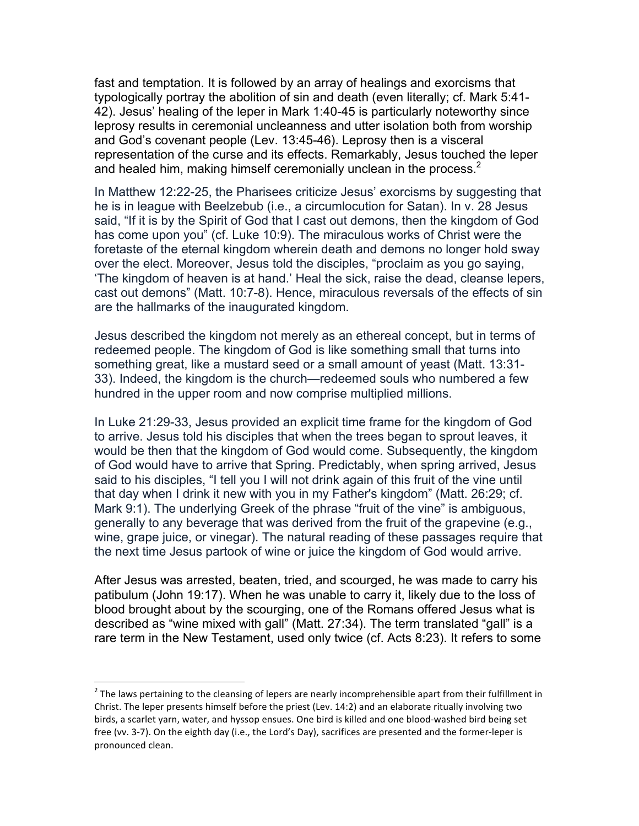fast and temptation. It is followed by an array of healings and exorcisms that typologically portray the abolition of sin and death (even literally; cf. Mark 5:41- 42). Jesus' healing of the leper in Mark 1:40-45 is particularly noteworthy since leprosy results in ceremonial uncleanness and utter isolation both from worship and God's covenant people (Lev. 13:45-46). Leprosy then is a visceral representation of the curse and its effects. Remarkably, Jesus touched the leper and healed him, making himself ceremonially unclean in the process.<sup>2</sup>

In Matthew 12:22-25, the Pharisees criticize Jesus' exorcisms by suggesting that he is in league with Beelzebub (i.e., a circumlocution for Satan). In v. 28 Jesus said, "If it is by the Spirit of God that I cast out demons, then the kingdom of God has come upon you" (cf. Luke 10:9). The miraculous works of Christ were the foretaste of the eternal kingdom wherein death and demons no longer hold sway over the elect. Moreover, Jesus told the disciples, "proclaim as you go saying, 'The kingdom of heaven is at hand.' Heal the sick, raise the dead, cleanse lepers, cast out demons" (Matt. 10:7-8). Hence, miraculous reversals of the effects of sin are the hallmarks of the inaugurated kingdom.

Jesus described the kingdom not merely as an ethereal concept, but in terms of redeemed people. The kingdom of God is like something small that turns into something great, like a mustard seed or a small amount of yeast (Matt. 13:31- 33). Indeed, the kingdom is the church—redeemed souls who numbered a few hundred in the upper room and now comprise multiplied millions.

In Luke 21:29-33, Jesus provided an explicit time frame for the kingdom of God to arrive. Jesus told his disciples that when the trees began to sprout leaves, it would be then that the kingdom of God would come. Subsequently, the kingdom of God would have to arrive that Spring. Predictably, when spring arrived, Jesus said to his disciples, "I tell you I will not drink again of this fruit of the vine until that day when I drink it new with you in my Father's kingdom" (Matt. 26:29; cf. Mark 9:1). The underlying Greek of the phrase "fruit of the vine" is ambiguous, generally to any beverage that was derived from the fruit of the grapevine (e.g., wine, grape juice, or vinegar). The natural reading of these passages require that the next time Jesus partook of wine or juice the kingdom of God would arrive.

After Jesus was arrested, beaten, tried, and scourged, he was made to carry his patibulum (John 19:17). When he was unable to carry it, likely due to the loss of blood brought about by the scourging, one of the Romans offered Jesus what is described as "wine mixed with gall" (Matt. 27:34). The term translated "gall" is a rare term in the New Testament, used only twice (cf. Acts 8:23). It refers to some

 $2$  The laws pertaining to the cleansing of lepers are nearly incomprehensible apart from their fulfillment in Christ. The leper presents himself before the priest (Lev. 14:2) and an elaborate ritually involving two birds, a scarlet yarn, water, and hyssop ensues. One bird is killed and one blood-washed bird being set free (vv. 3-7). On the eighth day (i.e., the Lord's Day), sacrifices are presented and the former-leper is pronounced clean.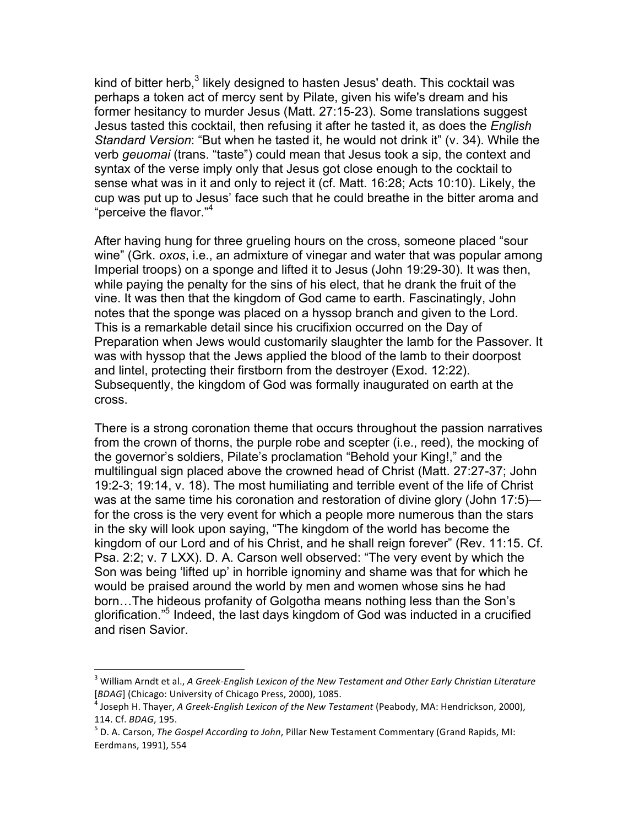kind of bitter herb,<sup>3</sup> likely designed to hasten Jesus' death. This cocktail was perhaps a token act of mercy sent by Pilate, given his wife's dream and his former hesitancy to murder Jesus (Matt. 27:15-23). Some translations suggest Jesus tasted this cocktail, then refusing it after he tasted it, as does the *English Standard Version*: "But when he tasted it, he would not drink it" (v. 34). While the verb *geuomai* (trans. "taste") could mean that Jesus took a sip, the context and syntax of the verse imply only that Jesus got close enough to the cocktail to sense what was in it and only to reject it (cf. Matt. 16:28; Acts 10:10). Likely, the cup was put up to Jesus' face such that he could breathe in the bitter aroma and "perceive the flavor."<sup>4</sup>

After having hung for three grueling hours on the cross, someone placed "sour wine" (Grk. *oxos*, i.e., an admixture of vinegar and water that was popular among Imperial troops) on a sponge and lifted it to Jesus (John 19:29-30). It was then, while paying the penalty for the sins of his elect, that he drank the fruit of the vine. It was then that the kingdom of God came to earth. Fascinatingly, John notes that the sponge was placed on a hyssop branch and given to the Lord. This is a remarkable detail since his crucifixion occurred on the Day of Preparation when Jews would customarily slaughter the lamb for the Passover. It was with hyssop that the Jews applied the blood of the lamb to their doorpost and lintel, protecting their firstborn from the destroyer (Exod. 12:22). Subsequently, the kingdom of God was formally inaugurated on earth at the cross.

There is a strong coronation theme that occurs throughout the passion narratives from the crown of thorns, the purple robe and scepter (i.e., reed), the mocking of the governor's soldiers, Pilate's proclamation "Behold your King!," and the multilingual sign placed above the crowned head of Christ (Matt. 27:27-37; John 19:2-3; 19:14, v. 18). The most humiliating and terrible event of the life of Christ was at the same time his coronation and restoration of divine glory (John 17:5) for the cross is the very event for which a people more numerous than the stars in the sky will look upon saying, "The kingdom of the world has become the kingdom of our Lord and of his Christ, and he shall reign forever" (Rev. 11:15. Cf. Psa. 2:2; v. 7 LXX). D. A. Carson well observed: "The very event by which the Son was being 'lifted up' in horrible ignominy and shame was that for which he would be praised around the world by men and women whose sins he had born…The hideous profanity of Golgotha means nothing less than the Son's glorification."5 Indeed, the last days kingdom of God was inducted in a crucified and risen Savior.

<sup>&</sup>lt;sup>3</sup> William Arndt et al., *A Greek-English Lexicon of the New Testament and Other Early Christian Literature* [*BDAG*] (Chicago: University of Chicago Press, 2000), 1085.<br><sup>4</sup> Joseph H. Thayer, *A Greek-English Lexicon of the New Testament* (Peabody, MA: Hendrickson, 2000),

<sup>114.</sup> Cf. *BDAG*, 195.<br><sup>5</sup> D. A. Carson, *The Gospel According to John*, Pillar New Testament Commentary (Grand Rapids, MI:

Eerdmans, 1991), 554